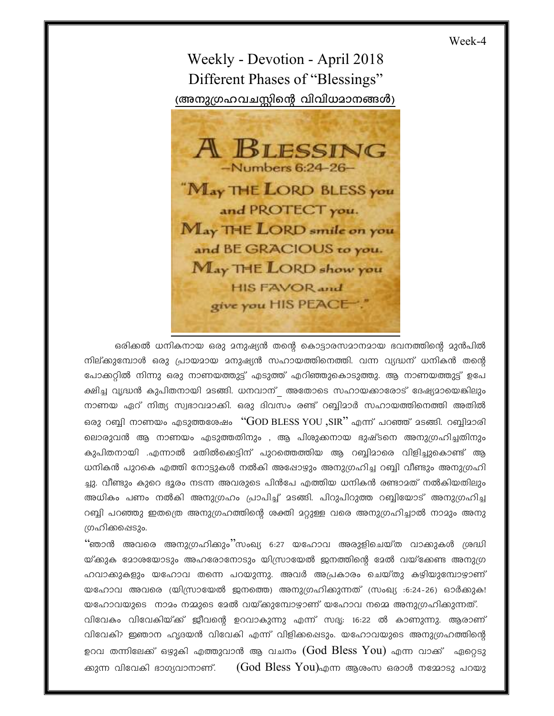Week-4

Weekly - Devotion - April 2018 Different Phases of "Blessings" (അനുഗ്രഹവചസ്സിന്റെ വിവിധമാനങ്ങൾ)



ഒരിക്കൽ ധനികനായ ഒരു മനുഷ്യൻ തന്റെ കൊട്ടാരസമാനമായ ഭവനത്തിന്റെ മുൻപിൽ നില്ക്കുമ്പോൾ ഒരു പ്രായമായ മനുഷ്യൻ സഹായത്തിനെത്തി. വന്ന വ്യദ്ധന് ധനികൻ തന്റെ പോക്കറ്റിൽ നിന്നു ഒരു നാണയത്തുട്ട് എടുത്ത് എറിഞ്ഞുകൊടുത്തു. ആ നാണയത്തുട്ട് ഉപേ ക്ഷിച്ച വൃദ്ധൻ കുപിതനായി മടങ്ങി. ധനവാന് അതോടെ സഹായക്കാരോട് ദേഷ്യമായെങ്കിലും നാണയ ഏറ് നിത്യ സ്വഭാവമാക്കി. ഒരു ദിവസം രണ്ട് റബ്ബിമാർ സഹായത്തിനെത്തി അതിൽ ഒരു റബ്ബി നാണയം എടുത്തശേഷം " $GOD$  BLESS YOU ,SIR" എന്ന് പറഞ്ഞ് മടങ്ങി. റബ്ബിമാരി ലൊരുവൻ ആ നാണയം എടുത്തതിനും , ആ പിശുക്കനായ ഭുഷ്ടനെ അനുഗ്രഹിച്ചതിനും കുപിതനായി .എന്നാൽ മതിൽക്കെട്ടിന് പുറത്തെത്തിയ ആ റബ്ബിമാരെ വിളിച്ചുകൊണ്ട് ആ ധനികൻ പുറകെ എത്തി നോട്ടുകൾ നൽകി അഷോഴും അനുഗ്രഹിച്ച റബ്ബി വീണ്ടും അനുഗ്രഹി ച്ചു. വീണ്ടും കുറെ ഭൂരം നടന്ന അവരുടെ പിൻപേ എത്തിയ ധനികൻ രണ്ടാമത് നൽകിയതിലും അധികം പണം നൽകി അനുഗ്രഹം പ്രാപിച്ച് മടങ്ങി. പിറുപിറുത്ത റബ്ബിയോട് അനുഗ്രഹിച്ച റബ്ബി പറഞ്ഞു ഇതത്രെ അനുഗ്രഹത്തിന്റെ ശക്തി മറ്റുള്ള വരെ അനുഗ്രഹിച്ചാൽ നാമും അനു ഗ്രഹിക്കപ്പെടും.

"ഞാൻ അവരെ അനുഗ്രഹിക്കും''സംഖ്യ 6:27 യഹോവ അരുളിചെയ്ത വാക്കുകൾ ശ്രദ്ധി യ്ക്കുക മോശയോടും അഹരോനോടും യിസ്രായേൽ ജനത്തിന്റെ മേൽ വയ്ക്കേണ്ട അനുഗ്ര ഹവാക്കുകളും യഹോവ തന്നെ പറയുന്നു. അവർ അപ്രകാരം ചെയ്തു കഴിയുമ്പോഴാണ് യഹോവ അവരെ (യിസ്രായേൽ ജനത്തെ) അനുഗ്രഹിക്കുന്നത് (സംഖ്യ :6:24-26) ഓർക്കുക! യഹോവയുടെ നാമം നമ്മുടെ മേൽ വയ്ക്കുമ്പോഴാണ് യഹോവ നമ്മെ അനുഗ്രഹിക്കുന്നത്. വിവേകം വിവേകിയ്ക്ക് ജീവന്റെ ഉറവാകുന്നു എന്ന് സദ്യ: 16:22 ൽ കാണുന്നു. ആരാണ് വിവേകി? ഇഞാന ഹൃദയൻ വിവേകി എന്ന് വിളിക്കപ്പെടും. യഹോവയുടെ അനുഗ്രഹത്തിന്റെ ഉറവ തന്നിലേക്ക് ഒഴുകി എത്തുവാൻ ആ വചനം  $(God\ Bless\ You)$  എന്ന വാക്ക് ഏറ്റെടു (God Bless You)എന്ന ആശംസ ഒരാൾ നമ്മോടു പറയു ക്കുന്ന വിവേകി ഭാഗ്യവാനാണ്.